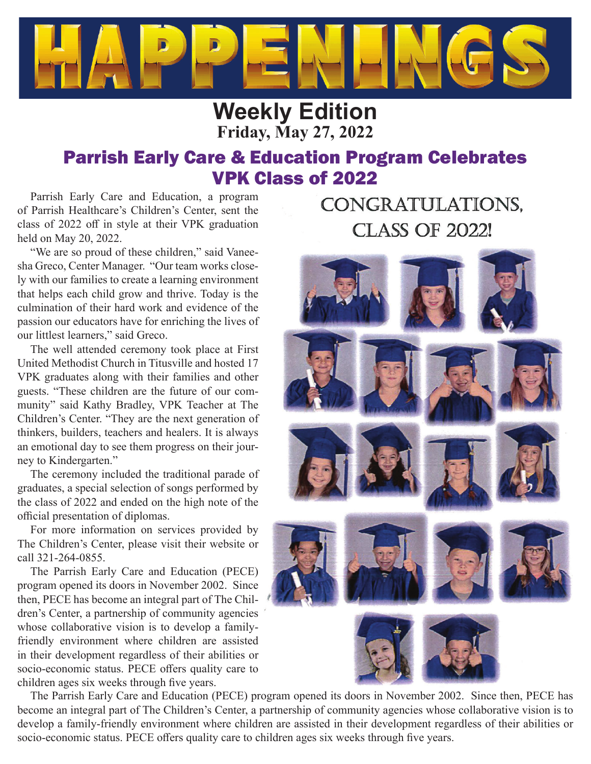

# **Weekly Edition Friday, May 27, 2022**

# Parrish Early Care & Education Program Celebrates VPK Class of 2022

Parrish Early Care and Education, a program of Parrish Healthcare's Children's Center, sent the class of 2022 off in style at their VPK graduation held on May 20, 2022.

"We are so proud of these children," said Vaneesha Greco, Center Manager. "Our team works closely with our families to create a learning environment that helps each child grow and thrive. Today is the culmination of their hard work and evidence of the passion our educators have for enriching the lives of our littlest learners," said Greco.

The well attended ceremony took place at First United Methodist Church in Titusville and hosted 17 VPK graduates along with their families and other guests. "These children are the future of our community" said Kathy Bradley, VPK Teacher at The Children's Center. "They are the next generation of thinkers, builders, teachers and healers. It is always an emotional day to see them progress on their journey to Kindergarten."

The ceremony included the traditional parade of graduates, a special selection of songs performed by the class of 2022 and ended on the high note of the official presentation of diplomas.

For more information on services provided by The Children's Center, please visit their website or call 321-264-0855.

The Parrish Early Care and Education (PECE) program opened its doors in November 2002. Since then, PECE has become an integral part of The Children's Center, a partnership of community agencies whose collaborative vision is to develop a familyfriendly environment where children are assisted in their development regardless of their abilities or socio-economic status. PECE offers quality care to children ages six weeks through five years.

# CONGRATULATIONS, **CLASS OF 2022!**



The Parrish Early Care and Education (PECE) program opened its doors in November 2002. Since then, PECE has become an integral part of The Children's Center, a partnership of community agencies whose collaborative vision is to develop a family-friendly environment where children are assisted in their development regardless of their abilities or socio-economic status. PECE offers quality care to children ages six weeks through five years.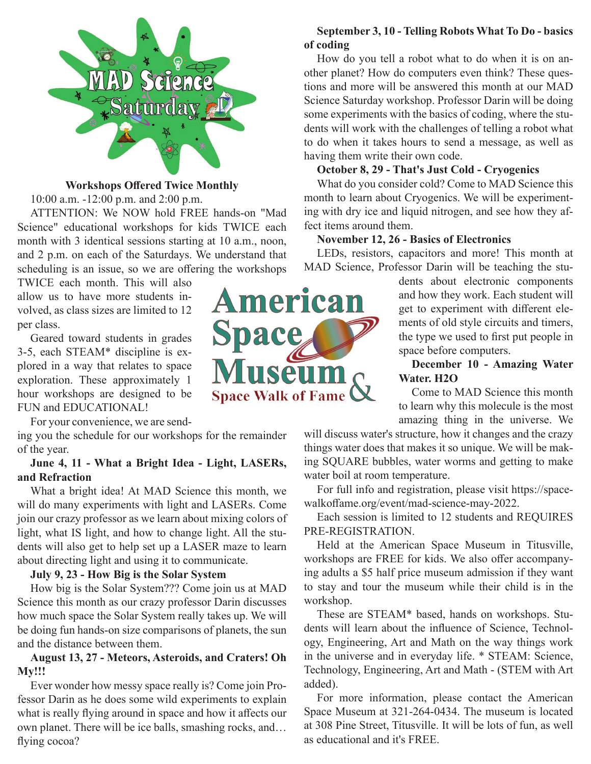

#### **Workshops Off ered Twice Monthly**

10:00 a.m. -12:00 p.m. and 2:00 p.m.

ATTENTION: We NOW hold FREE hands-on "Mad Science" educational workshops for kids TWICE each month with 3 identical sessions starting at 10 a.m., noon, and 2 p.m. on each of the Saturdays. We understand that scheduling is an issue, so we are offering the workshops

TWICE each month. This will also allow us to have more students involved, as class sizes are limited to 12 per class.

Geared toward students in grades 3-5, each STEAM\* discipline is explored in a way that relates to space exploration. These approximately 1 hour workshops are designed to be FUN and EDUCATIONAL!

For your convenience, we are send-

ing you the schedule for our workshops for the remainder of the year.

#### **June 4, 11 - What a Bright Idea - Light, LASERs, and Refraction**

What a bright idea! At MAD Science this month, we will do many experiments with light and LASERs. Come join our crazy professor as we learn about mixing colors of light, what IS light, and how to change light. All the students will also get to help set up a LASER maze to learn about directing light and using it to communicate.

#### **July 9, 23 - How Big is the Solar System**

How big is the Solar System??? Come join us at MAD Science this month as our crazy professor Darin discusses how much space the Solar System really takes up. We will be doing fun hands-on size comparisons of planets, the sun and the distance between them.

#### **August 13, 27 - Meteors, Asteroids, and Craters! Oh My!!!**

Ever wonder how messy space really is? Come join Professor Darin as he does some wild experiments to explain what is really flying around in space and how it affects our own planet. There will be ice balls, smashing rocks, and… flying cocoa?

# **American** Space useum **Space Walk of Fame**

#### **September 3, 10 - Telling Robots What To Do - basics of coding**

How do you tell a robot what to do when it is on another planet? How do computers even think? These questions and more will be answered this month at our MAD Science Saturday workshop. Professor Darin will be doing some experiments with the basics of coding, where the students will work with the challenges of telling a robot what to do when it takes hours to send a message, as well as having them write their own code.

#### **October 8, 29 - That's Just Cold - Cryogenics**

What do you consider cold? Come to MAD Science this month to learn about Cryogenics. We will be experimenting with dry ice and liquid nitrogen, and see how they affect items around them.

#### **November 12, 26 - Basics of Electronics**

LEDs, resistors, capacitors and more! This month at MAD Science, Professor Darin will be teaching the stu-

> dents about electronic components and how they work. Each student will get to experiment with different elements of old style circuits and timers, the type we used to first put people in space before computers.

> **December 10 - Amazing Water Water. H2O**

> Come to MAD Science this month to learn why this molecule is the most amazing thing in the universe. We

will discuss water's structure, how it changes and the crazy things water does that makes it so unique. We will be making SQUARE bubbles, water worms and getting to make water boil at room temperature.

For full info and registration, please visit https://spacewalkoffame.org/event/mad-science-may-2022.

Each session is limited to 12 students and REQUIRES PRE-REGISTRATION.

Held at the American Space Museum in Titusville, workshops are FREE for kids. We also offer accompanying adults a \$5 half price museum admission if they want to stay and tour the museum while their child is in the workshop.

These are STEAM\* based, hands on workshops. Students will learn about the influence of Science, Technology, Engineering, Art and Math on the way things work in the universe and in everyday life. \* STEAM: Science, Technology, Engineering, Art and Math - (STEM with Art added).

For more information, please contact the American Space Museum at 321-264-0434. The museum is located at 308 Pine Street, Titusville. It will be lots of fun, as well as educational and it's FREE.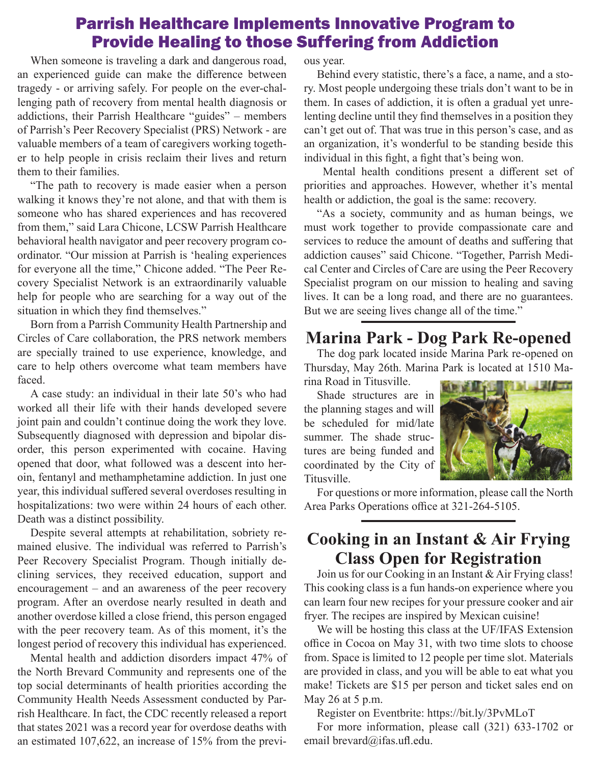## Parrish Healthcare Implements Innovative Program to Provide Healing to those Suffering from Addiction

When someone is traveling a dark and dangerous road, an experienced guide can make the difference between tragedy - or arriving safely. For people on the ever-challenging path of recovery from mental health diagnosis or addictions, their Parrish Healthcare "guides" – members of Parrish's Peer Recovery Specialist (PRS) Network - are valuable members of a team of caregivers working together to help people in crisis reclaim their lives and return them to their families.

"The path to recovery is made easier when a person walking it knows they're not alone, and that with them is someone who has shared experiences and has recovered from them," said Lara Chicone, LCSW Parrish Healthcare behavioral health navigator and peer recovery program coordinator. "Our mission at Parrish is 'healing experiences for everyone all the time," Chicone added. "The Peer Recovery Specialist Network is an extraordinarily valuable help for people who are searching for a way out of the situation in which they find themselves."

Born from a Parrish Community Health Partnership and Circles of Care collaboration, the PRS network members are specially trained to use experience, knowledge, and care to help others overcome what team members have faced.

A case study: an individual in their late 50's who had worked all their life with their hands developed severe joint pain and couldn't continue doing the work they love. Subsequently diagnosed with depression and bipolar disorder, this person experimented with cocaine. Having opened that door, what followed was a descent into heroin, fentanyl and methamphetamine addiction. In just one year, this individual suffered several overdoses resulting in hospitalizations: two were within 24 hours of each other. Death was a distinct possibility.

Despite several attempts at rehabilitation, sobriety remained elusive. The individual was referred to Parrish's Peer Recovery Specialist Program. Though initially declining services, they received education, support and encouragement – and an awareness of the peer recovery program. After an overdose nearly resulted in death and another overdose killed a close friend, this person engaged with the peer recovery team. As of this moment, it's the longest period of recovery this individual has experienced.

Mental health and addiction disorders impact 47% of the North Brevard Community and represents one of the top social determinants of health priorities according the Community Health Needs Assessment conducted by Parrish Healthcare. In fact, the CDC recently released a report that states 2021 was a record year for overdose deaths with an estimated 107,622, an increase of 15% from the previous year.

Behind every statistic, there's a face, a name, and a story. Most people undergoing these trials don't want to be in them. In cases of addiction, it is often a gradual yet unrelenting decline until they find themselves in a position they can't get out of. That was true in this person's case, and as an organization, it's wonderful to be standing beside this individual in this fight, a fight that's being won.

Mental health conditions present a different set of priorities and approaches. However, whether it's mental health or addiction, the goal is the same: recovery.

"As a society, community and as human beings, we must work together to provide compassionate care and services to reduce the amount of deaths and suffering that addiction causes" said Chicone. "Together, Parrish Medical Center and Circles of Care are using the Peer Recovery Specialist program on our mission to healing and saving lives. It can be a long road, and there are no guarantees. But we are seeing lives change all of the time."

## **Marina Park - Dog Park Re-opened**

The dog park located inside Marina Park re-opened on Thursday, May 26th. Marina Park is located at 1510 Marina Road in Titusville.

Shade structures are in the planning stages and will be scheduled for mid/late summer. The shade structures are being funded and coordinated by the City of Titusville.



For questions or more information, please call the North Area Parks Operations office at 321-264-5105.

## **Cooking in an Instant & Air Frying Class Open for Registration**

Join us for our Cooking in an Instant & Air Frying class! This cooking class is a fun hands-on experience where you can learn four new recipes for your pressure cooker and air fryer. The recipes are inspired by Mexican cuisine!

We will be hosting this class at the UF/IFAS Extension office in Cocoa on May 31, with two time slots to choose from. Space is limited to 12 people per time slot. Materials are provided in class, and you will be able to eat what you make! Tickets are \$15 per person and ticket sales end on May 26 at 5 p.m.

Register on Eventbrite: https://bit.ly/3PvMLoT

For more information, please call (321) 633-1702 or email brevard@ifas.ufl.edu.